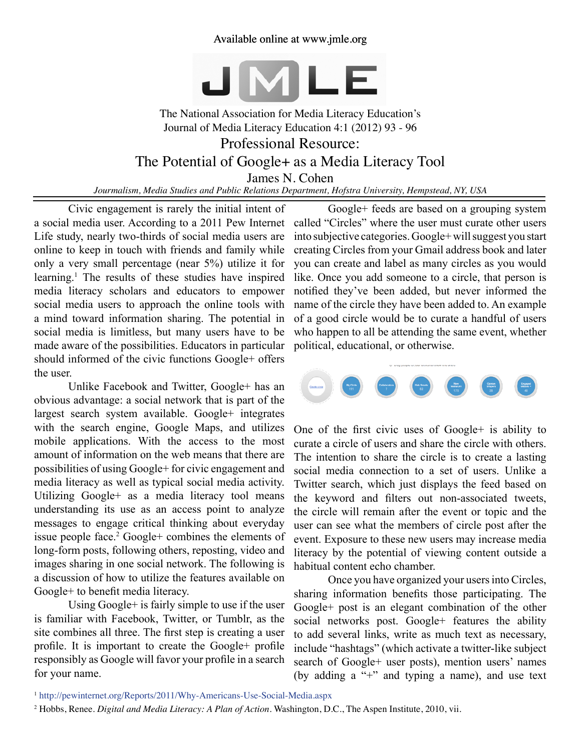## Available online at www.jmle.org



The National Association for Media Literacy Education's Journal of Media Literacy Education 4:1 (2012) 93 - 96 Professional Resource: The Potential of Google+ as a Media Literacy Tool James N. Cohen

*Jourmalism, Media Studies and Public Relations Department, Hofstra University, Hempstead, NY, USA*

Civic engagement is rarely the initial intent of a social media user. According to a 2011 Pew Internet Life study, nearly two-thirds of social media users are online to keep in touch with friends and family while only a very small percentage (near 5%) utilize it for learning.1 The results of these studies have inspired media literacy scholars and educators to empower social media users to approach the online tools with a mind toward information sharing. The potential in social media is limitless, but many users have to be made aware of the possibilities. Educators in particular should informed of the civic functions Google+ offers the user.

Unlike Facebook and Twitter, Google+ has an obvious advantage: a social network that is part of the largest search system available. Google+ integrates with the search engine, Google Maps, and utilizes mobile applications. With the access to the most amount of information on the web means that there are possibilities of using Google+ for civic engagement and media literacy as well as typical social media activity. Utilizing Google+ as a media literacy tool means understanding its use as an access point to analyze messages to engage critical thinking about everyday issue people face.<sup>2</sup> Google+ combines the elements of long-form posts, following others, reposting, video and images sharing in one social network. The following is a discussion of how to utilize the features available on Google+ to benefit media literacy.

Using Google+ is fairly simple to use if the user is familiar with Facebook, Twitter, or Tumblr, as the site combines all three. The first step is creating a user profile. It is important to create the Google+ profile responsibly as Google will favor your profile in a search for your name.

Google+ feeds are based on a grouping system called "Circles" where the user must curate other users into subjective categories. Google+ will suggest you start creating Circles from your Gmail address book and later you can create and label as many circles as you would like. Once you add someone to a circle, that person is notified they've been added, but never informed the name of the circle they have been added to. An example of a good circle would be to curate a handful of users who happen to all be attending the same event, whether political, educational, or otherwise.



One of the first civic uses of Google+ is ability to curate a circle of users and share the circle with others. The intention to share the circle is to create a lasting social media connection to a set of users. Unlike a Twitter search, which just displays the feed based on the keyword and filters out non-associated tweets, the circle will remain after the event or topic and the user can see what the members of circle post after the event. Exposure to these new users may increase media literacy by the potential of viewing content outside a habitual content echo chamber.

Once you have organized your users into Circles, sharing information benefits those participating. The Google+ post is an elegant combination of the other social networks post. Google+ features the ability to add several links, write as much text as necessary, include "hashtags" (which activate a twitter-like subject search of Google+ user posts), mention users' names (by adding a "+" and typing a name), and use text

<sup>1</sup> <http://pewinternet.org/Reports/2011/Why-Americans-Use-Social-Media.aspx>

<sup>2</sup> Hobbs, Renee. *Digital and Media Literacy: A Plan of Action*. Washington, D.C., The Aspen Institute, 2010, vii.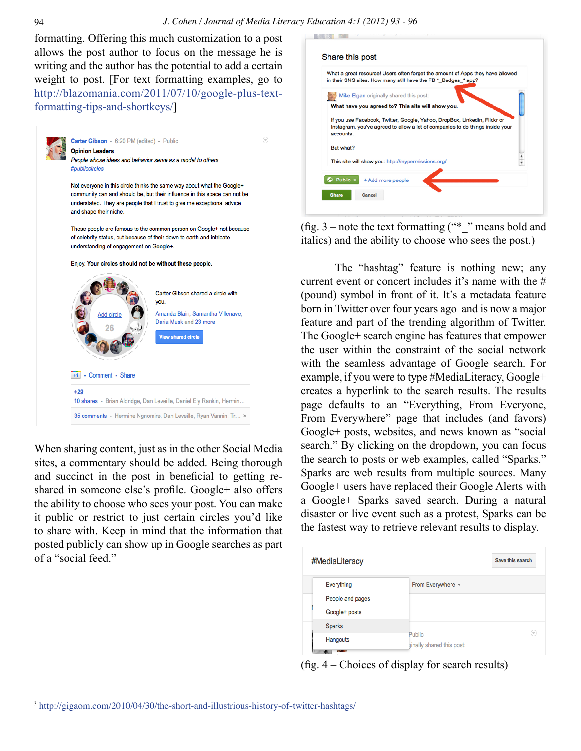formatting. Offering this much customization to a post allows the post author to focus on the message he is writing and the author has the potential to add a certain weight to post. [For text formatting examples, go to [http://blazomania.com/2011/07/10/google-plus-text](http://blazomania.com/2011/07/10/google-plus-text-formatting-tips-and-shortkeys/)[formatting-tips-and-shortkeys/\]](http://blazomania.com/2011/07/10/google-plus-text-formatting-tips-and-shortkeys/)



When sharing content, just as in the other Social Media sites, a commentary should be added. Being thorough and succinct in the post in beneficial to getting reshared in someone else's profile. Google+ also offers the ability to choose who sees your post. You can make it public or restrict to just certain circles you'd like to share with. Keep in mind that the information that posted publicly can show up in Google searches as part of a "social feed."

| What a great resource! Users often forget the amount of Apps they have allowed<br>in their SNS sites. How many still have the FB *_Badges_* app? |  |
|--------------------------------------------------------------------------------------------------------------------------------------------------|--|
| Mike Elgan originally shared this post:                                                                                                          |  |
| What have you agreed to? This site will show you.                                                                                                |  |
| If you use Facebook, Twitter, Google, Yahoo, DropBox, Linkedin, Flickr or                                                                        |  |
| Instagram, you've agreed to allow a lot of companies to do things inside your<br>accounts.                                                       |  |
| But what?                                                                                                                                        |  |
| This site will show you: http://mypermissions.org/                                                                                               |  |
| $\bigcirc$ Public $\times$<br>+Add more people                                                                                                   |  |

(fig.  $3$  – note the text formatting ("\* " means bold and italics) and the ability to choose who sees the post.)

The "hashtag" feature is nothing new; any current event or concert includes it's name with the # (pound) symbol in front of it. It's a metadata feature born in Twitter over four years ago and is now a major feature and part of the trending algorithm of Twitter. The Google+ search engine has features that empower the user within the constraint of the social network with the seamless advantage of Google search. For example, if you were to type #MediaLiteracy, Google+ creates a hyperlink to the search results. The results page defaults to an "Everything, From Everyone, From Everywhere" page that includes (and favors) Google+ posts, websites, and news known as "social search." By clicking on the dropdown, you can focus the search to posts or web examples, called "Sparks." Sparks are web results from multiple sources. Many Google+ users have replaced their Google Alerts with a Google+ Sparks saved search. During a natural disaster or live event such as a protest, Sparks can be the fastest way to retrieve relevant results to display.

| #MediaLiteracy   |                                     | Save this search |
|------------------|-------------------------------------|------------------|
| Everything       | From Everywhere $\sim$              |                  |
| People and pages |                                     |                  |
| Google+ posts    |                                     |                  |
| <b>Sparks</b>    | Public<br>ginally shared this post: |                  |
| Hangouts         |                                     | l w              |
| 100 100          |                                     |                  |

(fig. 4 – Choices of display for search results)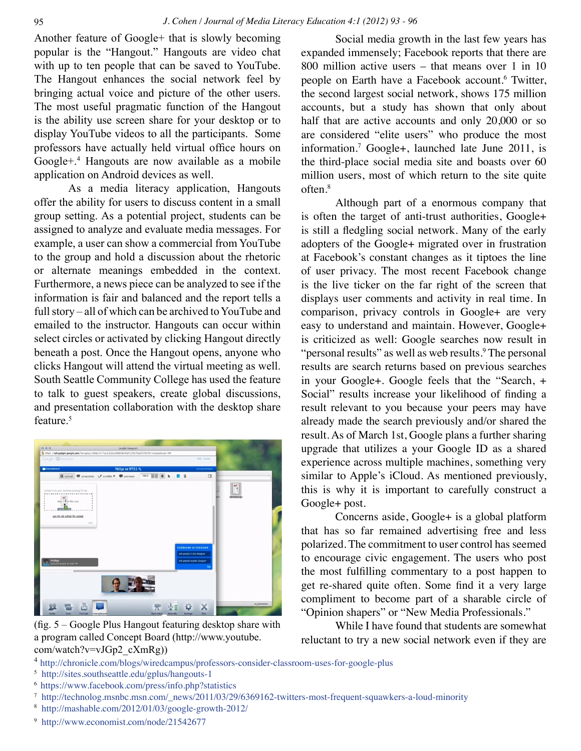Another feature of Google+ that is slowly becoming popular is the "Hangout." Hangouts are video chat with up to ten people that can be saved to YouTube. The Hangout enhances the social network feel by bringing actual voice and picture of the other users. The most useful pragmatic function of the Hangout is the ability use screen share for your desktop or to display YouTube videos to all the participants. Some professors have actually held virtual office hours on Google+.<sup>4</sup> Hangouts are now available as a mobile application on Android devices as well.

As a media literacy application, Hangouts offer the ability for users to discuss content in a small group setting. As a potential project, students can be assigned to analyze and evaluate media messages. For example, a user can show a commercial from YouTube to the group and hold a discussion about the rhetoric or alternate meanings embedded in the context. Furthermore, a news piece can be analyzed to see if the information is fair and balanced and the report tells a full story – all of which can be archived to YouTube and emailed to the instructor. Hangouts can occur within select circles or activated by clicking Hangout directly beneath a post. Once the Hangout opens, anyone who clicks Hangout will attend the virtual meeting as well. South Seattle Community College has used the feature to talk to guest speakers, create global discussions, and presentation collaboration with the desktop share feature.<sup>5</sup>



(fig. 5 – Google Plus Hangout featuring desktop share with a program called Concept Board (http://www.youtube. com/watch?v=vJGp2\_cXmRg))

Social media growth in the last few years has expanded immensely; Facebook reports that there are 800 million active users – that means over 1 in 10 people on Earth have a Facebook account.<sup>6</sup> Twitter, the second largest social network, shows 175 million accounts, but a study has shown that only about half that are active accounts and only 20,000 or so are considered "elite users" who produce the most information.7 Google+, launched late June 2011, is the third-place social media site and boasts over 60 million users, most of which return to the site quite often.8

Although part of a enormous company that is often the target of anti-trust authorities, Google+ is still a fledgling social network. Many of the early adopters of the Google+ migrated over in frustration at Facebook's constant changes as it tiptoes the line of user privacy. The most recent Facebook change is the live ticker on the far right of the screen that displays user comments and activity in real time. In comparison, privacy controls in Google+ are very easy to understand and maintain. However, Google+ is criticized as well: Google searches now result in "personal results" as well as web results.<sup>9</sup> The personal results are search returns based on previous searches in your Google+. Google feels that the "Search, + Social" results increase your likelihood of finding a result relevant to you because your peers may have already made the search previously and/or shared the result. As of March 1st, Google plans a further sharing upgrade that utilizes a your Google ID as a shared experience across multiple machines, something very similar to Apple's iCloud. As mentioned previously, this is why it is important to carefully construct a Google+ post.

Concerns aside, Google+ is a global platform that has so far remained advertising free and less polarized. The commitment to user control has seemed to encourage civic engagement. The users who post the most fulfilling commentary to a post happen to get re-shared quite often. Some find it a very large compliment to become part of a sharable circle of "Opinion shapers" or "New Media Professionals."

While I have found that students are somewhat reluctant to try a new social network even if they are

- <sup>4</sup> <http://chronicle.com/blogs/wiredcampus/professors-consider-classroom-uses-for-google-plus>
- 5 <http://sites.southseattle.edu/gplus/hangouts-1>
- 6 <https://www.facebook.com/press/info.php?statistics>
- <sup>7</sup> [http://technolog.msnbc.msn.com/\\_news/2011/03/29/6369162-twitters-most-frequent-squawkers-a-loud-minority](http://technolog.msnbc.msn.com/_news/2011/03/29/6369162-twitters-most-frequent-squawkers-a-loud-minority)
- 8 <http://mashable.com/2012/01/03/google-growth-2012/>
- 9 <http://www.economist.com/node/21542677>